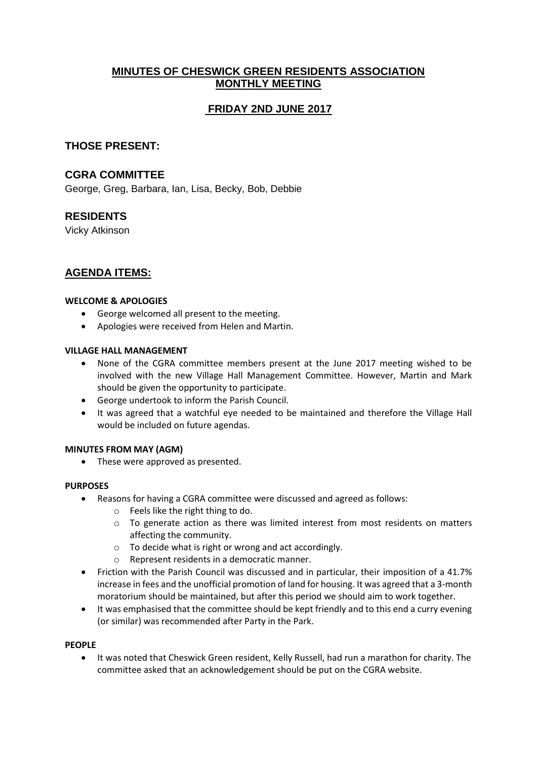## **MINUTES OF CHESWICK GREEN RESIDENTS ASSOCIATION MONTHLY MEETING**

# **FRIDAY 2ND JUNE 2017**

### **THOSE PRESENT:**

### **CGRA COMMITTEE**

George, Greg, Barbara, Ian, Lisa, Becky, Bob, Debbie

### **RESIDENTS**

Vicky Atkinson

## **AGENDA ITEMS:**

#### **WELCOME & APOLOGIES**

- George welcomed all present to the meeting.
- Apologies were received from Helen and Martin.

### **VILLAGE HALL MANAGEMENT**

- None of the CGRA committee members present at the June 2017 meeting wished to be involved with the new Village Hall Management Committee. However, Martin and Mark should be given the opportunity to participate.
- George undertook to inform the Parish Council.
- It was agreed that a watchful eye needed to be maintained and therefore the Village Hall would be included on future agendas.

#### **MINUTES FROM MAY (AGM)**

• These were approved as presented.

#### **PURPOSES**

- Reasons for having a CGRA committee were discussed and agreed as follows:
	- o Feels like the right thing to do.
	- o To generate action as there was limited interest from most residents on matters affecting the community.
	- o To decide what is right or wrong and act accordingly.
	- o Represent residents in a democratic manner.
- Friction with the Parish Council was discussed and in particular, their imposition of a 41.7% increase in fees and the unofficial promotion of land for housing. It was agreed that a 3-month moratorium should be maintained, but after this period we should aim to work together.
- It was emphasised that the committee should be kept friendly and to this end a curry evening (or similar) was recommended after Party in the Park.

#### **PEOPLE**

• It was noted that Cheswick Green resident, Kelly Russell, had run a marathon for charity. The committee asked that an acknowledgement should be put on the CGRA website.